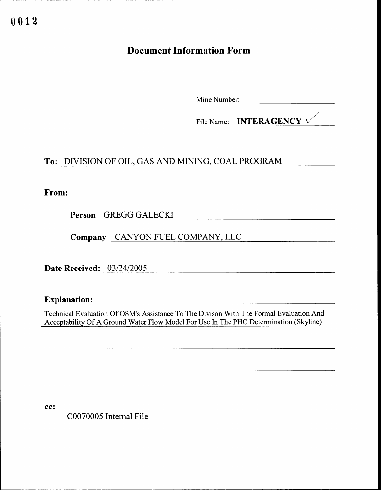# Document Information Form

Mine Number:

File Name: **INTERAGENCY**  $\checkmark$ 

## To: DIVISION OF OIL, GAS AND MINING, COAL PROGRAM

From:

Person GREGG GALECKI

Company CANYON FUEL COMPANY, LLC

Date Received: 03/24/2005

Explanation: the contraction of the contraction of the contraction of the contraction of the contraction of the contraction of the contraction of the contraction of the contraction of the contraction of the contraction of

 Technical Evaluation Of OSM's Assistance To The Divison With The Formal Evaluation And Acceptability Of A Ground Water Flow Model For Use In The PHC Determination (Skyline) 

cc:

C0070005 Internal File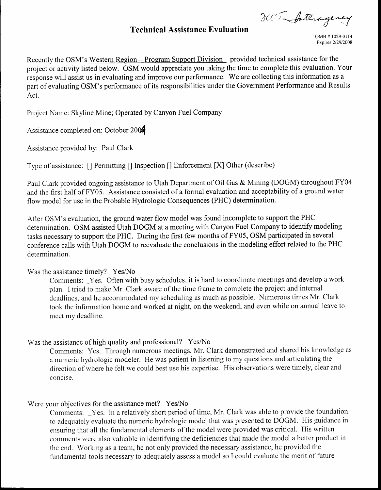CC Anciag

### Technical Assistance Evaluation

Recently the OSM's Western Region- Program Support Division provided technical assistance for the project or activity listed below. OSM would appreciate you taking the time to complete this evaluation. Your response will assist us in evaluating and improve our performance. We are collecting this information as a part of evaluating OSM's performance of its responsibilities under the Government Performance and Results Act.

Project Name: Skyline Mine; Operated by Canyon Fuel Company

Assistance completed on: October 2004

Assistance provided by: Paul Clark

Type of assistance: [] Permitting [] Inspection [] Enforcement [X] Other (describe)

Paul Clark provided ongoing assistance to Utah Department of Oil Gas & Mining (DOGM) throughout FY04 and the first half of FY05 . Assistance consisted of a formal evaluation and acceptability of a ground water flow model for use in the Probable Hydrologic Consequences (PHC) determination.

After OSM's evaluation, the ground water flow model was found incomplete to support the PHC determination. OSM assisted Utah DOGM at a meeting with Canyon Fuel Company to identify modeling tasks necessary to support the PHC . During the first few months of FY05, OSM participated in several conference calls with Utah DOGM to reevaluate the conclusions in the modeling effort related to the PHC determination.

#### Was the assistance timely? Yes/No

Comments: Yes. Often with busy schedules, it is hard to coordinate meetings and develop a work plan. I tried to make Mr . Clark aware of the time frame to complete the project and internal deadlines, and he accommodated my scheduling as much as possible. Numerous times Mr. Clark took the information home and worked at night, on the weekend, and even while on annual leave to meet my deadline.

#### Was the assistance of high quality and professional? Yes/No

Comments: Yes. Through numerous meetings, Mr. Clark demonstrated and shared his knowledge as a numeric hydrologic modeler. He was patient in listening to my questions and articulating the direction of where he felt we could best use his expertise. His observations were timely, clear and concise .

#### Were your objectives for the assistance met? Yes/No

Comments: Yes. In a relatively short period of time, Mr. Clark was able to provide the foundation to adequately evaluate the numeric hydrologic model that was presented to DOGM. His guidance in ensuring that all the fundamental elements of the model were provided was critical. His written comments were also valuable in identifying the deficiencies that made the model a better product in the end. Working as a team, he not only provided the necessary assistance, he provided the fundamental tools necessary to adequately assess a model so I could evaluate the merit of future

OMB # 1029-0114 Expires 2/29/2008